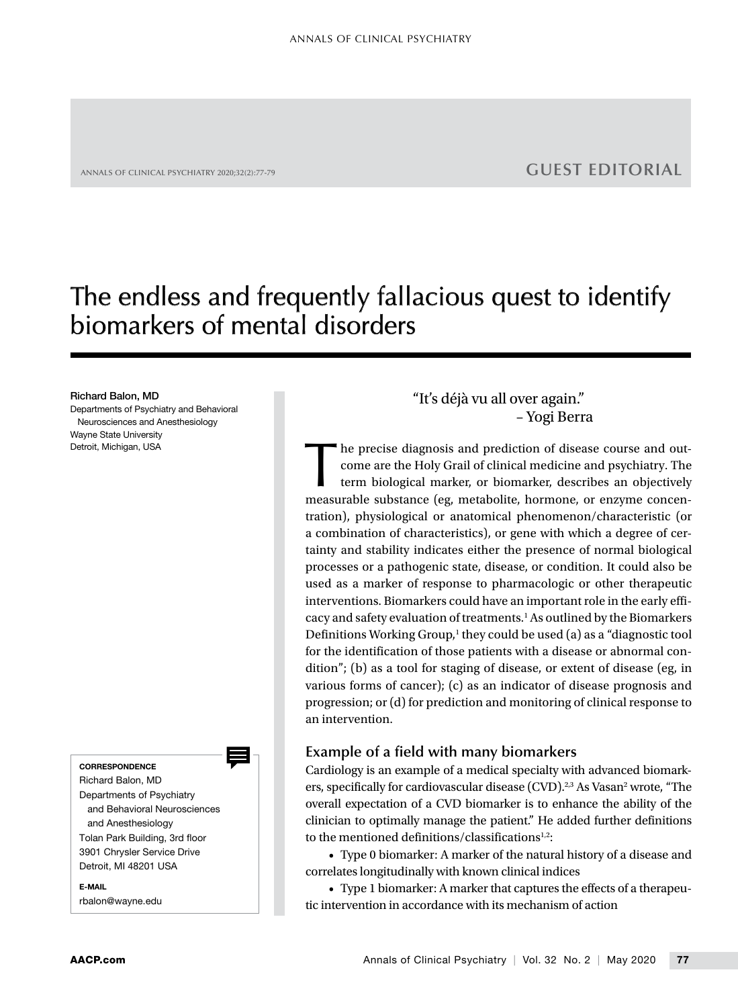## ANNALS OF CLINICAL PSYCHIATRY 2020;32(2):77-79 **GUEST EDITORIAL**

# The endless and frequently fallacious quest to identify biomarkers of mental disorders

#### Richard Balon, MD

Departments of Psychiatry and Behavioral Neurosciences and Anesthesiology Wayne State University Detroit, Michigan, USA

#### **CORRESPONDENCE**

Richard Balon, MD Departments of Psychiatry and Behavioral Neurosciences and Anesthesiology Tolan Park Building, 3rd floor 3901 Chrysler Service Drive Detroit, MI 48201 USA

E-MAIL rbalon@wayne.edu "It's déjà vu all over again." – Yogi Berra

he precise diagnosis and prediction of disease course and outcome are the Holy Grail of clinical medicine and psychiatry. The term biological marker, or biomarker, describes an objectively measurable substance (eg, metabolite, hormone, or enzyme concentration), physiological or anatomical phenomenon/characteristic (or a combination of characteristics), or gene with which a degree of certainty and stability indicates either the presence of normal biological processes or a pathogenic state, disease, or condition. It could also be used as a marker of response to pharmacologic or other therapeutic interventions. Biomarkers could have an important role in the early efficacy and safety evaluation of treatments.<sup>1</sup> As outlined by the Biomarkers Definitions Working Group,<sup>1</sup> they could be used (a) as a "diagnostic tool for the identification of those patients with a disease or abnormal condition"; (b) as a tool for staging of disease, or extent of disease (eg, in various forms of cancer); (c) as an indicator of disease prognosis and progression; or (d) for prediction and monitoring of clinical response to an intervention.

## **Example of a field with many biomarkers**

Cardiology is an example of a medical specialty with advanced biomarkers, specifically for cardiovascular disease (CVD).<sup>2,3</sup> As Vasan<sup>2</sup> wrote, "The overall expectation of a CVD biomarker is to enhance the ability of the clinician to optimally manage the patient." He added further definitions to the mentioned definitions/classifications<sup>1,2</sup>:

• Type 0 biomarker: A marker of the natural history of a disease and correlates longitudinally with known clinical indices

• Type 1 biomarker: A marker that captures the effects of a therapeutic intervention in accordance with its mechanism of action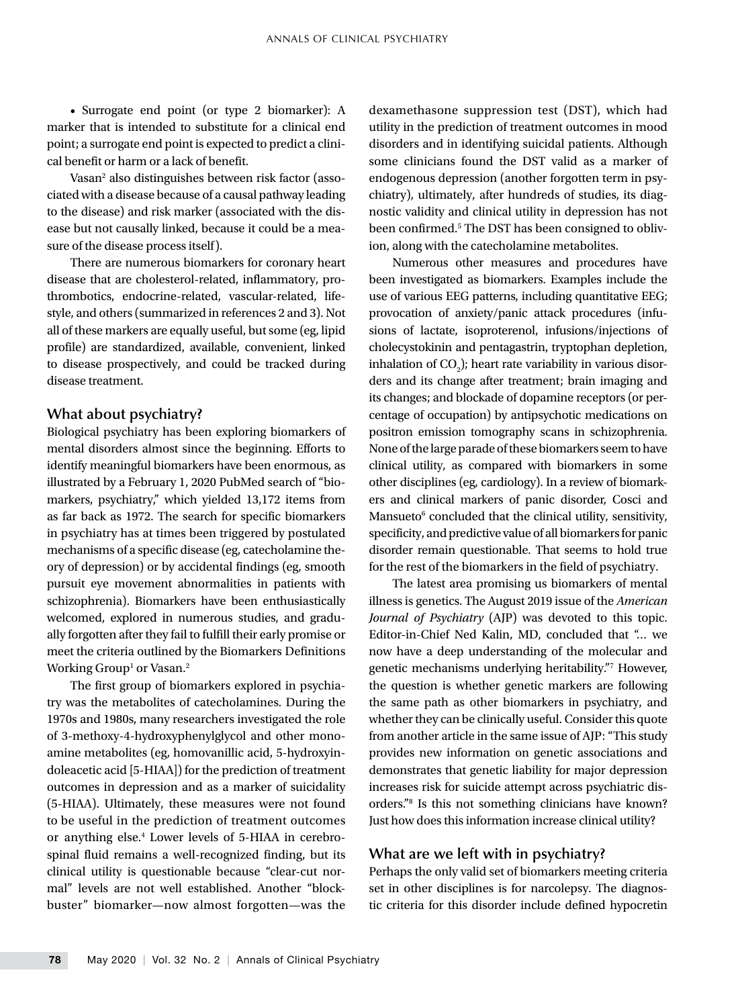• Surrogate end point (or type 2 biomarker): A marker that is intended to substitute for a clinical end point; a surrogate end point is expected to predict a clinical benefit or harm or a lack of benefit.

Vasan<sup>2</sup> also distinguishes between risk factor (associated with a disease because of a causal pathway leading to the disease) and risk marker (associated with the disease but not causally linked, because it could be a measure of the disease process itself).

There are numerous biomarkers for coronary heart disease that are cholesterol-related, inflammatory, prothrombotics, endocrine-related, vascular-related, lifestyle, and others (summarized in references 2 and 3). Not all of these markers are equally useful, but some (eg, lipid profile) are standardized, available, convenient, linked to disease prospectively, and could be tracked during disease treatment.

### **What about psychiatry?**

Biological psychiatry has been exploring biomarkers of mental disorders almost since the beginning. Efforts to identify meaningful biomarkers have been enormous, as illustrated by a February 1, 2020 PubMed search of "biomarkers, psychiatry," which yielded 13,172 items from as far back as 1972. The search for specific biomarkers in psychiatry has at times been triggered by postulated mechanisms of a specific disease (eg, catecholamine theory of depression) or by accidental findings (eg, smooth pursuit eye movement abnormalities in patients with schizophrenia). Biomarkers have been enthusiastically welcomed, explored in numerous studies, and gradually forgotten after they fail to fulfill their early promise or meet the criteria outlined by the Biomarkers Definitions Working Group $^{\rm l}$  or Vasan. $^{\rm 2}$ 

The first group of biomarkers explored in psychiatry was the metabolites of catecholamines. During the 1970s and 1980s, many researchers investigated the role of 3-methoxy-4-hydroxyphenylglycol and other monoamine metabolites (eg, homovanillic acid, 5-hydroxyindoleacetic acid [5-HIAA]) for the prediction of treatment outcomes in depression and as a marker of suicidality (5-HIAA). Ultimately, these measures were not found to be useful in the prediction of treatment outcomes or anything else.4 Lower levels of 5-HIAA in cerebrospinal fluid remains a well-recognized finding, but its clinical utility is questionable because "clear-cut normal" levels are not well established. Another "blockbuster" biomarker—now almost forgotten—was the dexamethasone suppression test (DST), which had utility in the prediction of treatment outcomes in mood disorders and in identifying suicidal patients. Although some clinicians found the DST valid as a marker of endogenous depression (another forgotten term in psychiatry), ultimately, after hundreds of studies, its diagnostic validity and clinical utility in depression has not been confirmed.<sup>5</sup> The DST has been consigned to oblivion, along with the catecholamine metabolites.

Numerous other measures and procedures have been investigated as biomarkers. Examples include the use of various EEG patterns, including quantitative EEG; provocation of anxiety/panic attack procedures (infusions of lactate, isoproterenol, infusions/injections of cholecystokinin and pentagastrin, tryptophan depletion, inhalation of  $CO<sub>2</sub>$ ); heart rate variability in various disorders and its change after treatment; brain imaging and its changes; and blockade of dopamine receptors (or percentage of occupation) by antipsychotic medications on positron emission tomography scans in schizophrenia. None of the large parade of these biomarkers seem to have clinical utility, as compared with biomarkers in some other disciplines (eg, cardiology). In a review of biomarkers and clinical markers of panic disorder, Cosci and Mansueto<sup>6</sup> concluded that the clinical utility, sensitivity, specificity, and predictive value of all biomarkers for panic disorder remain questionable. That seems to hold true for the rest of the biomarkers in the field of psychiatry.

The latest area promising us biomarkers of mental illness is genetics. The August 2019 issue of the *American Journal of Psychiatry* (AJP) was devoted to this topic. Editor-in-Chief Ned Kalin, MD, concluded that "… we now have a deep understanding of the molecular and genetic mechanisms underlying heritability."7 However, the question is whether genetic markers are following the same path as other biomarkers in psychiatry, and whether they can be clinically useful. Consider this quote from another article in the same issue of AJP: "This study provides new information on genetic associations and demonstrates that genetic liability for major depression increases risk for suicide attempt across psychiatric disorders."8 Is this not something clinicians have known? Just how does this information increase clinical utility?

#### **What are we left with in psychiatry?**

Perhaps the only valid set of biomarkers meeting criteria set in other disciplines is for narcolepsy. The diagnostic criteria for this disorder include defined hypocretin